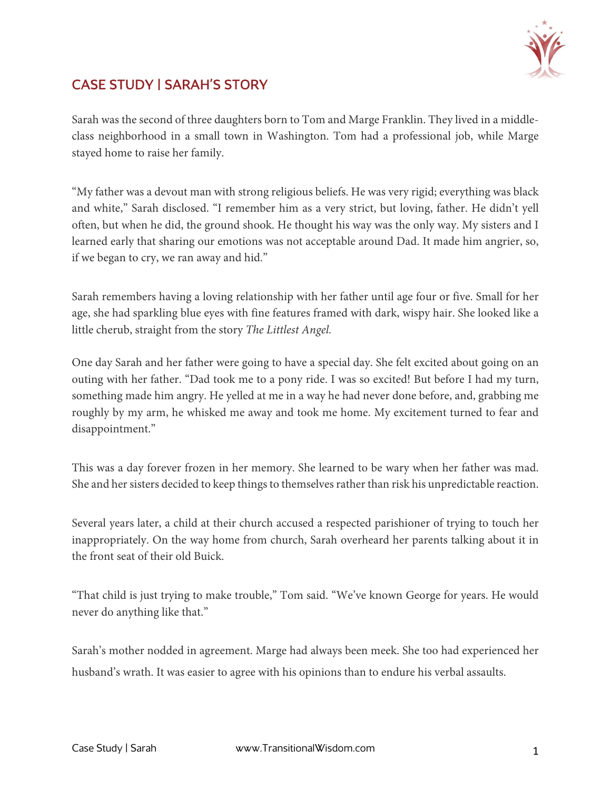

## CASE STUDY | SARAH'S STORY

Sarah was the second of three daughters born to Tom and Marge Franklin. They lived in a middleclass neighborhood in a small town in Washington. Tom had a professional job, while Marge stayed home to raise her family.

"My father was a devout man with strong religious beliefs. He was very rigid; everything was black and white," Sarah disclosed. "I remember him as a very strict, but loving, father. He didn't yell often, but when he did, the ground shook. He thought his way was the only way. My sisters and I learned early that sharing our emotions was not acceptable around Dad. It made him angrier, so, if we began to cry, we ran away and hid."

Sarah remembers having a loving relationship with her father until age four or five. Small for her age, she had sparkling blue eyes with fine features framed with dark, wispy hair. She looked like a little cherub, straight from the story *The Littlest Angel.*

One day Sarah and her father were going to have a special day. She felt excited about going on an outing with her father. "Dad took me to a pony ride. I was so excited! But before I had my turn, something made him angry. He yelled at me in a way he had never done before, and, grabbing me roughly by my arm, he whisked me away and took me home. My excitement turned to fear and disappointment."

This was a day forever frozen in her memory. She learned to be wary when her father was mad. She and her sisters decided to keep things to themselves rather than risk his unpredictable reaction.

Several years later, a child at their church accused a respected parishioner of trying to touch her inappropriately. On the way home from church, Sarah overheard her parents talking about it in the front seat of their old Buick.

"That child is just trying to make trouble," Tom said. "We've known George for years. He would never do anything like that."

Sarah's mother nodded in agreement. Marge had always been meek. She too had experienced her husband's wrath. It was easier to agree with his opinions than to endure his verbal assaults.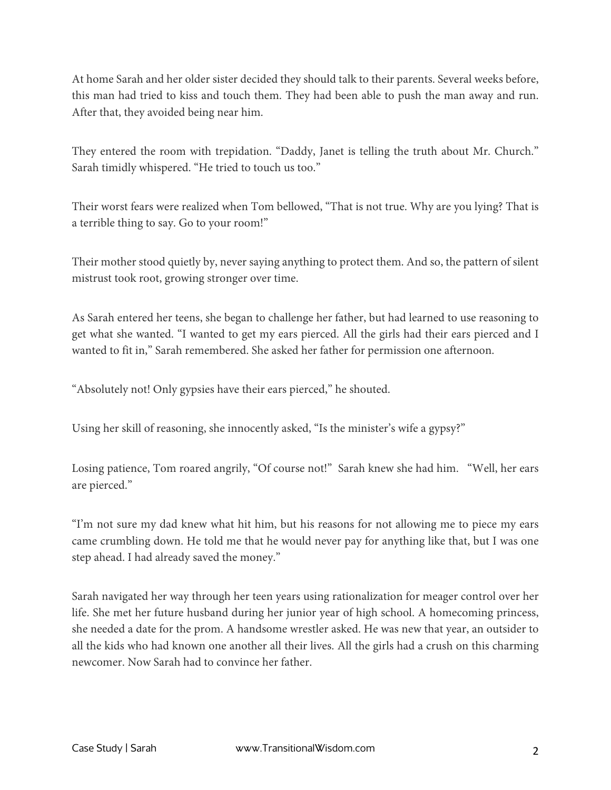At home Sarah and her older sister decided they should talk to their parents. Several weeks before, this man had tried to kiss and touch them. They had been able to push the man away and run. After that, they avoided being near him.

They entered the room with trepidation. "Daddy, Janet is telling the truth about Mr. Church." Sarah timidly whispered. "He tried to touch us too."

Their worst fears were realized when Tom bellowed, "That is not true. Why are you lying? That is a terrible thing to say. Go to your room!"

Their mother stood quietly by, never saying anything to protect them. And so, the pattern of silent mistrust took root, growing stronger over time.

As Sarah entered her teens, she began to challenge her father, but had learned to use reasoning to get what she wanted. "I wanted to get my ears pierced. All the girls had their ears pierced and I wanted to fit in," Sarah remembered. She asked her father for permission one afternoon.

"Absolutely not! Only gypsies have their ears pierced," he shouted.

Using her skill of reasoning, she innocently asked, "Is the minister's wife a gypsy?"

Losing patience, Tom roared angrily, "Of course not!" Sarah knew she had him. "Well, her ears are pierced."

"I'm not sure my dad knew what hit him, but his reasons for not allowing me to piece my ears came crumbling down. He told me that he would never pay for anything like that, but I was one step ahead. I had already saved the money."

Sarah navigated her way through her teen years using rationalization for meager control over her life. She met her future husband during her junior year of high school. A homecoming princess, she needed a date for the prom. A handsome wrestler asked. He was new that year, an outsider to all the kids who had known one another all their lives. All the girls had a crush on this charming newcomer. Now Sarah had to convince her father.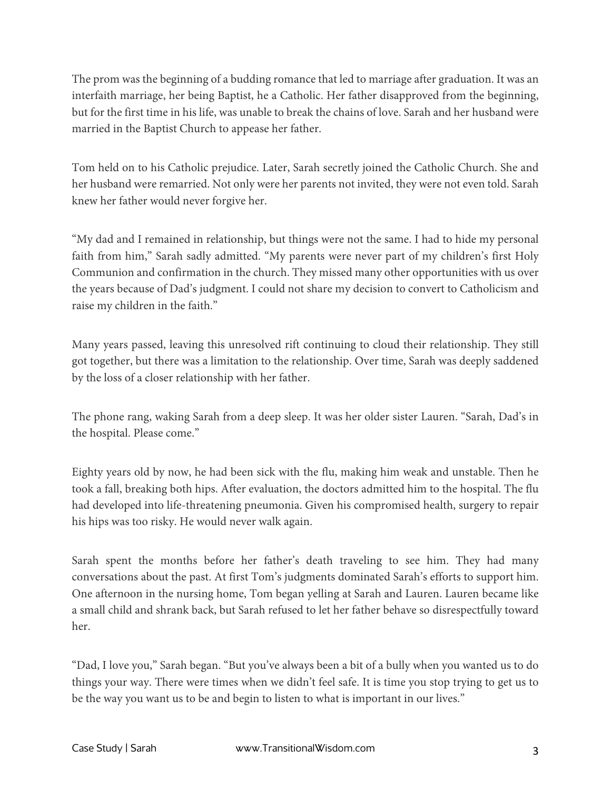The prom was the beginning of a budding romance that led to marriage after graduation. It was an interfaith marriage, her being Baptist, he a Catholic. Her father disapproved from the beginning, but for the first time in his life, was unable to break the chains of love. Sarah and her husband were married in the Baptist Church to appease her father.

Tom held on to his Catholic prejudice. Later, Sarah secretly joined the Catholic Church. She and her husband were remarried. Not only were her parents not invited, they were not even told. Sarah knew her father would never forgive her.

"My dad and I remained in relationship, but things were not the same. I had to hide my personal faith from him," Sarah sadly admitted. "My parents were never part of my children's first Holy Communion and confirmation in the church. They missed many other opportunities with us over the years because of Dad's judgment. I could not share my decision to convert to Catholicism and raise my children in the faith."

Many years passed, leaving this unresolved rift continuing to cloud their relationship. They still got together, but there was a limitation to the relationship. Over time, Sarah was deeply saddened by the loss of a closer relationship with her father.

The phone rang, waking Sarah from a deep sleep. It was her older sister Lauren. "Sarah, Dad's in the hospital. Please come."

Eighty years old by now, he had been sick with the flu, making him weak and unstable. Then he took a fall, breaking both hips. After evaluation, the doctors admitted him to the hospital. The flu had developed into life-threatening pneumonia. Given his compromised health, surgery to repair his hips was too risky. He would never walk again.

Sarah spent the months before her father's death traveling to see him. They had many conversations about the past. At first Tom's judgments dominated Sarah's efforts to support him. One afternoon in the nursing home, Tom began yelling at Sarah and Lauren. Lauren became like a small child and shrank back, but Sarah refused to let her father behave so disrespectfully toward her.

"Dad, I love you," Sarah began. "But you've always been a bit of a bully when you wanted us to do things your way. There were times when we didn't feel safe. It is time you stop trying to get us to be the way you want us to be and begin to listen to what is important in our lives."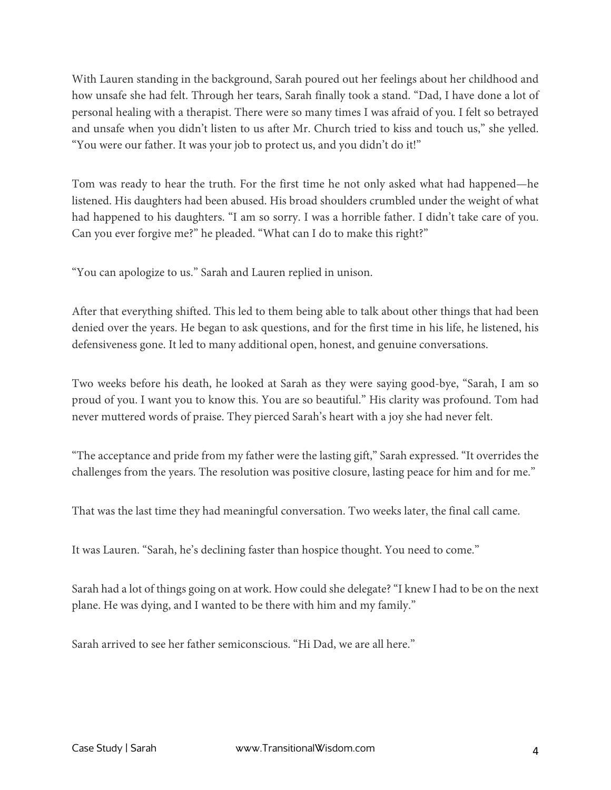With Lauren standing in the background, Sarah poured out her feelings about her childhood and how unsafe she had felt. Through her tears, Sarah finally took a stand. "Dad, I have done a lot of personal healing with a therapist. There were so many times I was afraid of you. I felt so betrayed and unsafe when you didn't listen to us after Mr. Church tried to kiss and touch us," she yelled. "You were our father. It was your job to protect us, and you didn't do it!"

Tom was ready to hear the truth. For the first time he not only asked what had happened—he listened. His daughters had been abused. His broad shoulders crumbled under the weight of what had happened to his daughters. "I am so sorry. I was a horrible father. I didn't take care of you. Can you ever forgive me?" he pleaded. "What can I do to make this right?"

"You can apologize to us." Sarah and Lauren replied in unison.

After that everything shifted. This led to them being able to talk about other things that had been denied over the years. He began to ask questions, and for the first time in his life, he listened, his defensiveness gone. It led to many additional open, honest, and genuine conversations.

Two weeks before his death, he looked at Sarah as they were saying good-bye, "Sarah, I am so proud of you. I want you to know this. You are so beautiful." His clarity was profound. Tom had never muttered words of praise. They pierced Sarah's heart with a joy she had never felt.

"The acceptance and pride from my father were the lasting gift," Sarah expressed. "It overrides the challenges from the years. The resolution was positive closure, lasting peace for him and for me."

That was the last time they had meaningful conversation. Two weeks later, the final call came.

It was Lauren. "Sarah, he's declining faster than hospice thought. You need to come."

Sarah had a lot of things going on at work. How could she delegate? "I knew I had to be on the next plane. He was dying, and I wanted to be there with him and my family."

Sarah arrived to see her father semiconscious. "Hi Dad, we are all here."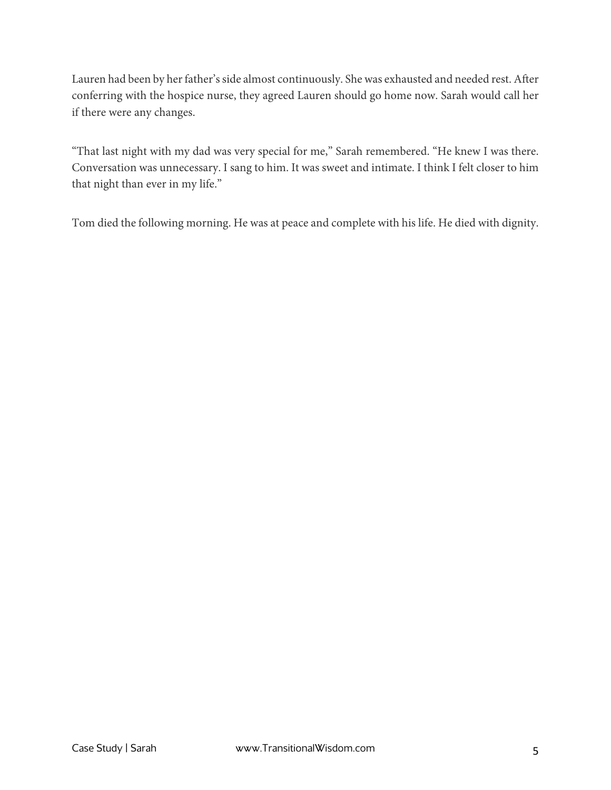Lauren had been by her father's side almost continuously. She was exhausted and needed rest. After conferring with the hospice nurse, they agreed Lauren should go home now. Sarah would call her if there were any changes.

"That last night with my dad was very special for me," Sarah remembered. "He knew I was there. Conversation was unnecessary. I sang to him. It was sweet and intimate. I think I felt closer to him that night than ever in my life."

Tom died the following morning. He was at peace and complete with his life. He died with dignity.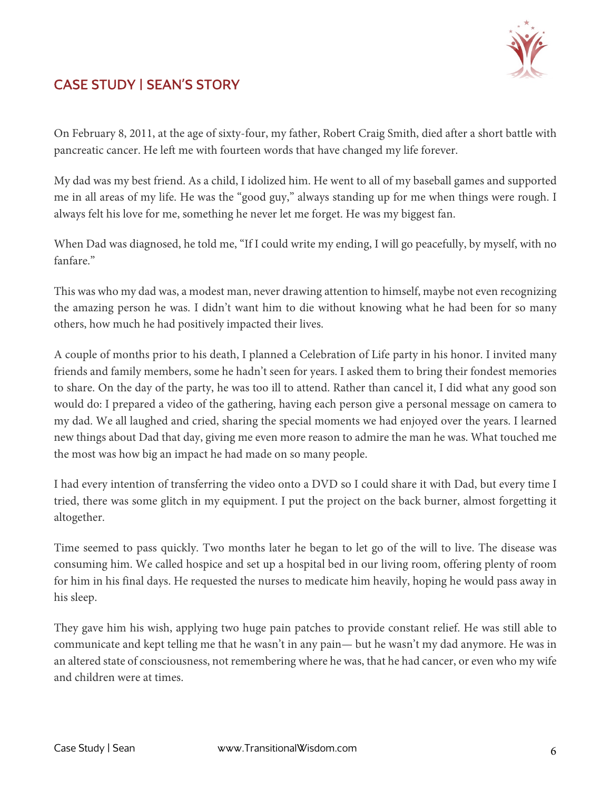

# CASE STUDY | SEAN'S STORY

On February 8, 2011, at the age of sixty-four, my father, Robert Craig Smith, died after a short battle with pancreatic cancer. He left me with fourteen words that have changed my life forever.

My dad was my best friend. As a child, I idolized him. He went to all of my baseball games and supported me in all areas of my life. He was the "good guy," always standing up for me when things were rough. I always felt his love for me, something he never let me forget. He was my biggest fan.

When Dad was diagnosed, he told me, "If I could write my ending, I will go peacefully, by myself, with no fanfare."

This was who my dad was, a modest man, never drawing attention to himself, maybe not even recognizing the amazing person he was. I didn't want him to die without knowing what he had been for so many others, how much he had positively impacted their lives.

A couple of months prior to his death, I planned a Celebration of Life party in his honor. I invited many friends and family members, some he hadn't seen for years. I asked them to bring their fondest memories to share. On the day of the party, he was too ill to attend. Rather than cancel it, I did what any good son would do: I prepared a video of the gathering, having each person give a personal message on camera to my dad. We all laughed and cried, sharing the special moments we had enjoyed over the years. I learned new things about Dad that day, giving me even more reason to admire the man he was. What touched me the most was how big an impact he had made on so many people.

I had every intention of transferring the video onto a DVD so I could share it with Dad, but every time I tried, there was some glitch in my equipment. I put the project on the back burner, almost forgetting it altogether.

Time seemed to pass quickly. Two months later he began to let go of the will to live. The disease was consuming him. We called hospice and set up a hospital bed in our living room, offering plenty of room for him in his final days. He requested the nurses to medicate him heavily, hoping he would pass away in his sleep.

They gave him his wish, applying two huge pain patches to provide constant relief. He was still able to communicate and kept telling me that he wasn't in any pain— but he wasn't my dad anymore. He was in an altered state of consciousness, not remembering where he was, that he had cancer, or even who my wife and children were at times.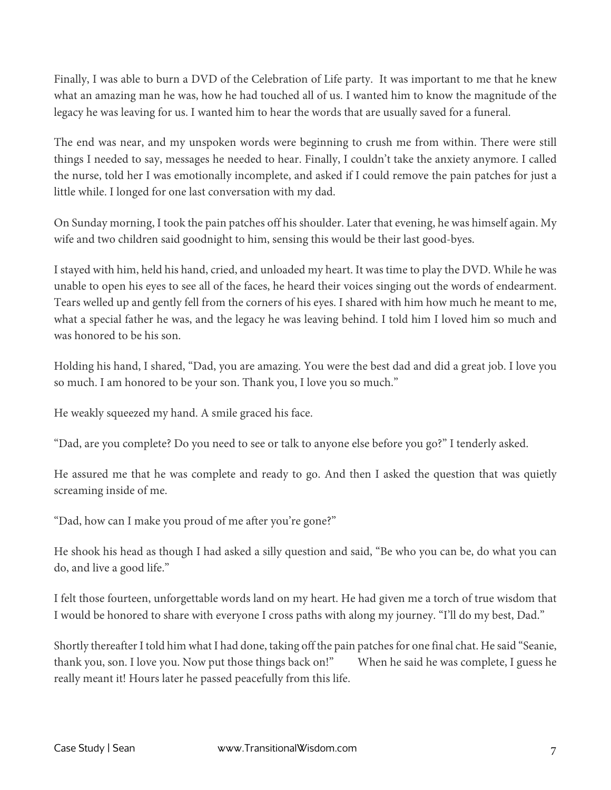Finally, I was able to burn a DVD of the Celebration of Life party. It was important to me that he knew what an amazing man he was, how he had touched all of us. I wanted him to know the magnitude of the legacy he was leaving for us. I wanted him to hear the words that are usually saved for a funeral.

The end was near, and my unspoken words were beginning to crush me from within. There were still things I needed to say, messages he needed to hear. Finally, I couldn't take the anxiety anymore. I called the nurse, told her I was emotionally incomplete, and asked if I could remove the pain patches for just a little while. I longed for one last conversation with my dad.

On Sunday morning, I took the pain patches off his shoulder. Later that evening, he was himself again. My wife and two children said goodnight to him, sensing this would be their last good-byes.

I stayed with him, held his hand, cried, and unloaded my heart. It was time to play the DVD. While he was unable to open his eyes to see all of the faces, he heard their voices singing out the words of endearment. Tears welled up and gently fell from the corners of his eyes. I shared with him how much he meant to me, what a special father he was, and the legacy he was leaving behind. I told him I loved him so much and was honored to be his son.

Holding his hand, I shared, "Dad, you are amazing. You were the best dad and did a great job. I love you so much. I am honored to be your son. Thank you, I love you so much."

He weakly squeezed my hand. A smile graced his face.

"Dad, are you complete? Do you need to see or talk to anyone else before you go?" I tenderly asked.

He assured me that he was complete and ready to go. And then I asked the question that was quietly screaming inside of me.

"Dad, how can I make you proud of me after you're gone?"

He shook his head as though I had asked a silly question and said, "Be who you can be, do what you can do, and live a good life."

I felt those fourteen, unforgettable words land on my heart. He had given me a torch of true wisdom that I would be honored to share with everyone I cross paths with along my journey. "I'll do my best, Dad."

Shortly thereafter I told him what I had done, taking off the pain patches for one final chat. He said "Seanie, thank you, son. I love you. Now put those things back on!" When he said he was complete, I guess he really meant it! Hours later he passed peacefully from this life.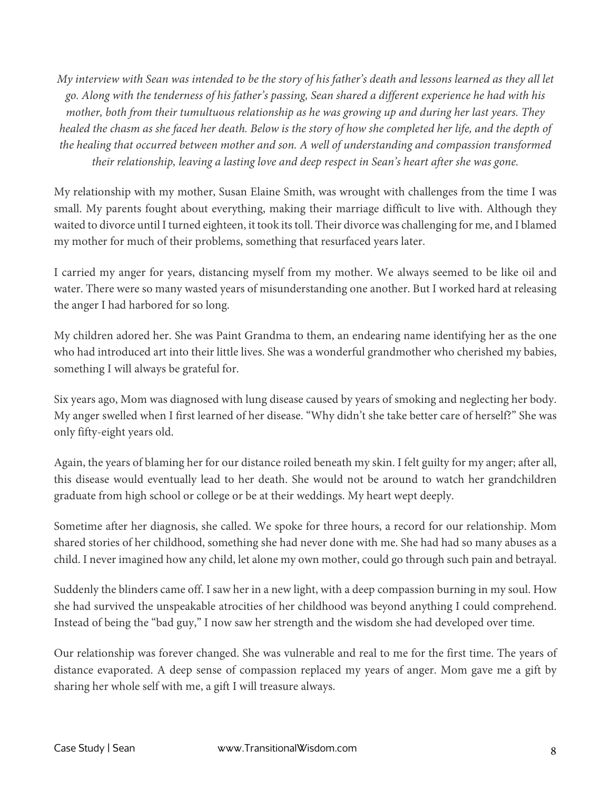*My interview with Sean was intended to be the story of his father's death and lessons learned as they all let go. Along with the tenderness of his father's passing, Sean shared a different experience he had with his mother, both from their tumultuous relationship as he was growing up and during her last years. They healed the chasm as she faced her death. Below is the story of how she completed her life, and the depth of the healing that occurred between mother and son. A well of understanding and compassion transformed their relationship, leaving a lasting love and deep respect in Sean's heart after she was gone.* 

My relationship with my mother, Susan Elaine Smith, was wrought with challenges from the time I was small. My parents fought about everything, making their marriage difficult to live with. Although they waited to divorce until I turned eighteen, it took its toll. Their divorce was challenging for me, and I blamed my mother for much of their problems, something that resurfaced years later.

I carried my anger for years, distancing myself from my mother. We always seemed to be like oil and water. There were so many wasted years of misunderstanding one another. But I worked hard at releasing the anger I had harbored for so long.

My children adored her. She was Paint Grandma to them, an endearing name identifying her as the one who had introduced art into their little lives. She was a wonderful grandmother who cherished my babies, something I will always be grateful for.

Six years ago, Mom was diagnosed with lung disease caused by years of smoking and neglecting her body. My anger swelled when I first learned of her disease. "Why didn't she take better care of herself?" She was only fifty-eight years old.

Again, the years of blaming her for our distance roiled beneath my skin. I felt guilty for my anger; after all, this disease would eventually lead to her death. She would not be around to watch her grandchildren graduate from high school or college or be at their weddings. My heart wept deeply.

Sometime after her diagnosis, she called. We spoke for three hours, a record for our relationship. Mom shared stories of her childhood, something she had never done with me. She had had so many abuses as a child. I never imagined how any child, let alone my own mother, could go through such pain and betrayal.

Suddenly the blinders came off. I saw her in a new light, with a deep compassion burning in my soul. How she had survived the unspeakable atrocities of her childhood was beyond anything I could comprehend. Instead of being the "bad guy," I now saw her strength and the wisdom she had developed over time.

Our relationship was forever changed. She was vulnerable and real to me for the first time. The years of distance evaporated. A deep sense of compassion replaced my years of anger. Mom gave me a gift by sharing her whole self with me, a gift I will treasure always.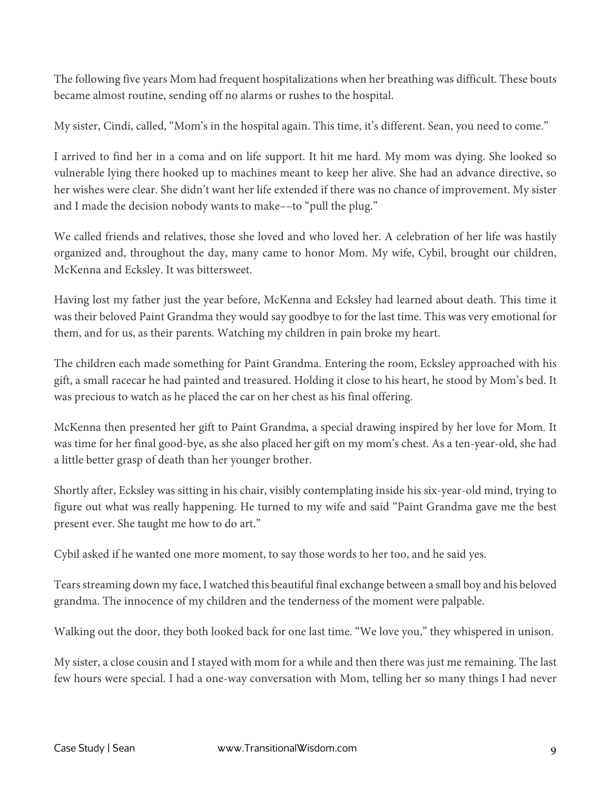The following five years Mom had frequent hospitalizations when her breathing was difficult. These bouts became almost routine, sending off no alarms or rushes to the hospital.

My sister, Cindi, called, "Mom's in the hospital again. This time, it's different. Sean, you need to come."

I arrived to find her in a coma and on life support. It hit me hard. My mom was dying. She looked so vulnerable lying there hooked up to machines meant to keep her alive. She had an advance directive, so her wishes were clear. She didn't want her life extended if there was no chance of improvement. My sister and I made the decision nobody wants to make––to "pull the plug."

We called friends and relatives, those she loved and who loved her. A celebration of her life was hastily organized and, throughout the day, many came to honor Mom. My wife, Cybil, brought our children, McKenna and Ecksley. It was bittersweet.

Having lost my father just the year before, McKenna and Ecksley had learned about death. This time it was their beloved Paint Grandma they would say goodbye to for the last time. This was very emotional for them, and for us, as their parents. Watching my children in pain broke my heart.

The children each made something for Paint Grandma. Entering the room, Ecksley approached with his gift, a small racecar he had painted and treasured. Holding it close to his heart, he stood by Mom's bed. It was precious to watch as he placed the car on her chest as his final offering.

McKenna then presented her gift to Paint Grandma, a special drawing inspired by her love for Mom. It was time for her final good-bye, as she also placed her gift on my mom's chest. As a ten-year-old, she had a little better grasp of death than her younger brother.

Shortly after, Ecksley was sitting in his chair, visibly contemplating inside his six-year-old mind, trying to figure out what was really happening. He turned to my wife and said "Paint Grandma gave me the best present ever. She taught me how to do art."

Cybil asked if he wanted one more moment, to say those words to her too, and he said yes.

Tears streaming down my face, I watched this beautiful final exchange between a small boy and his beloved grandma. The innocence of my children and the tenderness of the moment were palpable.

Walking out the door, they both looked back for one last time. "We love you," they whispered in unison.

My sister, a close cousin and I stayed with mom for a while and then there was just me remaining. The last few hours were special. I had a one-way conversation with Mom, telling her so many things I had never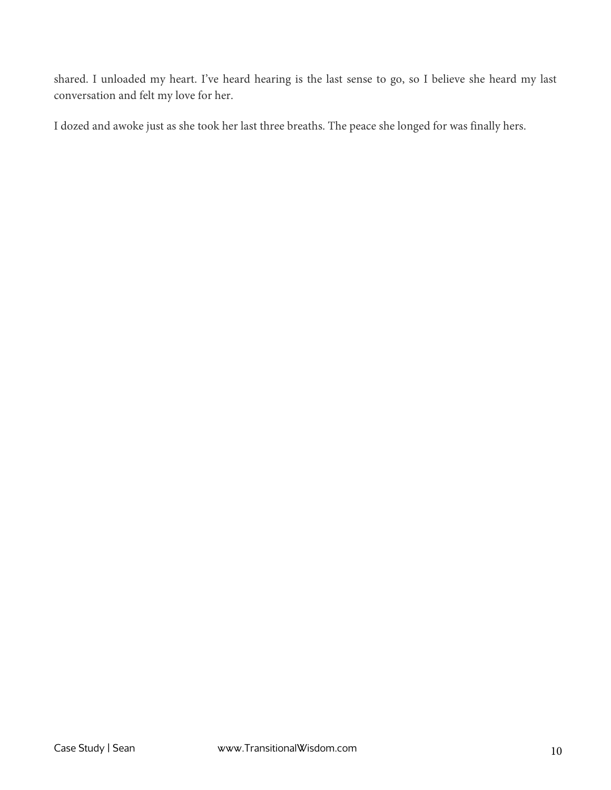shared. I unloaded my heart. I've heard hearing is the last sense to go, so I believe she heard my last conversation and felt my love for her.

I dozed and awoke just as she took her last three breaths. The peace she longed for was finally hers.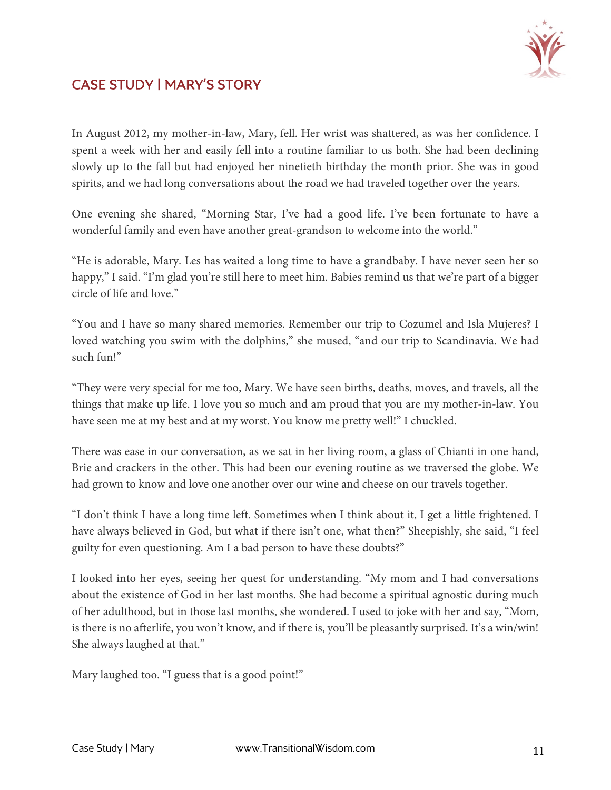

## CASE STUDY | MARY'S STORY

In August 2012, my mother-in-law, Mary, fell. Her wrist was shattered, as was her confidence. I spent a week with her and easily fell into a routine familiar to us both. She had been declining slowly up to the fall but had enjoyed her ninetieth birthday the month prior. She was in good spirits, and we had long conversations about the road we had traveled together over the years.

One evening she shared, "Morning Star, I've had a good life. I've been fortunate to have a wonderful family and even have another great-grandson to welcome into the world."

"He is adorable, Mary. Les has waited a long time to have a grandbaby. I have never seen her so happy," I said. "I'm glad you're still here to meet him. Babies remind us that we're part of a bigger circle of life and love."

"You and I have so many shared memories. Remember our trip to Cozumel and Isla Mujeres? I loved watching you swim with the dolphins," she mused, "and our trip to Scandinavia. We had such fun!"

"They were very special for me too, Mary. We have seen births, deaths, moves, and travels, all the things that make up life. I love you so much and am proud that you are my mother-in-law. You have seen me at my best and at my worst. You know me pretty well!" I chuckled.

There was ease in our conversation, as we sat in her living room, a glass of Chianti in one hand, Brie and crackers in the other. This had been our evening routine as we traversed the globe. We had grown to know and love one another over our wine and cheese on our travels together.

"I don't think I have a long time left. Sometimes when I think about it, I get a little frightened. I have always believed in God, but what if there isn't one, what then?" Sheepishly, she said, "I feel guilty for even questioning. Am I a bad person to have these doubts?"

I looked into her eyes, seeing her quest for understanding. "My mom and I had conversations about the existence of God in her last months. She had become a spiritual agnostic during much of her adulthood, but in those last months, she wondered. I used to joke with her and say, "Mom, is there is no afterlife, you won't know, and if there is, you'll be pleasantly surprised. It's a win/win! She always laughed at that."

Mary laughed too. "I guess that is a good point!"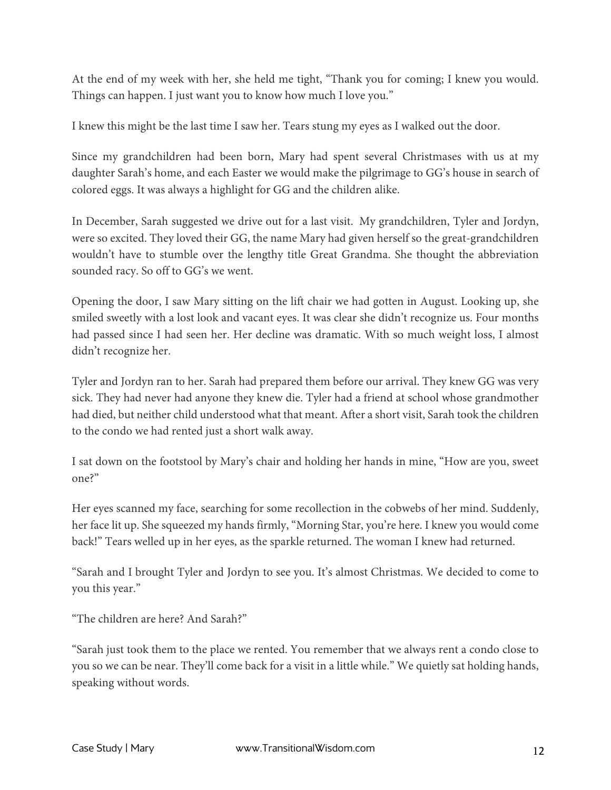At the end of my week with her, she held me tight, "Thank you for coming; I knew you would. Things can happen. I just want you to know how much I love you."

I knew this might be the last time I saw her. Tears stung my eyes as I walked out the door.

Since my grandchildren had been born, Mary had spent several Christmases with us at my daughter Sarah's home, and each Easter we would make the pilgrimage to GG's house in search of colored eggs. It was always a highlight for GG and the children alike.

In December, Sarah suggested we drive out for a last visit. My grandchildren, Tyler and Jordyn, were so excited. They loved their GG, the name Mary had given herself so the great-grandchildren wouldn't have to stumble over the lengthy title Great Grandma. She thought the abbreviation sounded racy. So off to GG's we went.

Opening the door, I saw Mary sitting on the lift chair we had gotten in August. Looking up, she smiled sweetly with a lost look and vacant eyes. It was clear she didn't recognize us. Four months had passed since I had seen her. Her decline was dramatic. With so much weight loss, I almost didn't recognize her.

Tyler and Jordyn ran to her. Sarah had prepared them before our arrival. They knew GG was very sick. They had never had anyone they knew die. Tyler had a friend at school whose grandmother had died, but neither child understood what that meant. After a short visit, Sarah took the children to the condo we had rented just a short walk away.

I sat down on the footstool by Mary's chair and holding her hands in mine, "How are you, sweet one?"

Her eyes scanned my face, searching for some recollection in the cobwebs of her mind. Suddenly, her face lit up. She squeezed my hands firmly, "Morning Star, you're here. I knew you would come back!" Tears welled up in her eyes, as the sparkle returned. The woman I knew had returned.

"Sarah and I brought Tyler and Jordyn to see you. It's almost Christmas. We decided to come to you this year."

"The children are here? And Sarah?"

"Sarah just took them to the place we rented. You remember that we always rent a condo close to you so we can be near. They'll come back for a visit in a little while." We quietly sat holding hands, speaking without words.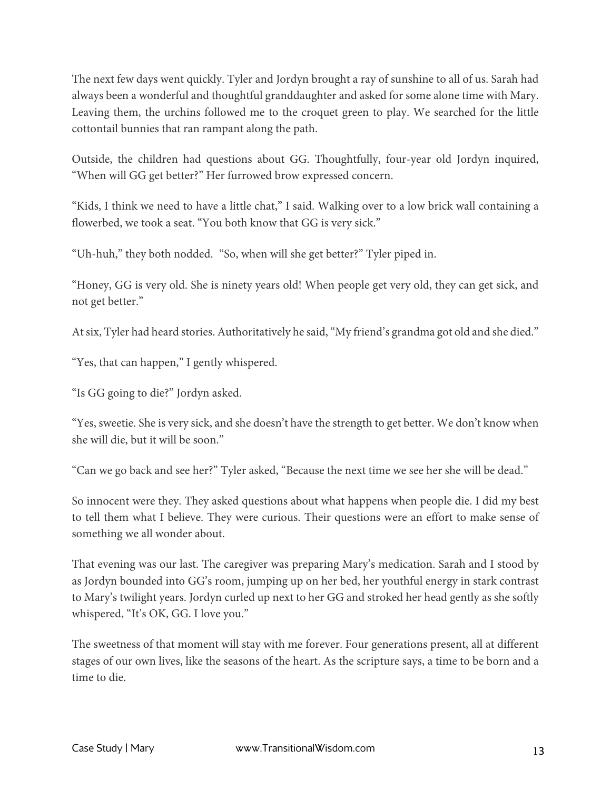The next few days went quickly. Tyler and Jordyn brought a ray of sunshine to all of us. Sarah had always been a wonderful and thoughtful granddaughter and asked for some alone time with Mary. Leaving them, the urchins followed me to the croquet green to play. We searched for the little cottontail bunnies that ran rampant along the path.

Outside, the children had questions about GG. Thoughtfully, four-year old Jordyn inquired, "When will GG get better?" Her furrowed brow expressed concern.

"Kids, I think we need to have a little chat," I said. Walking over to a low brick wall containing a flowerbed, we took a seat. "You both know that GG is very sick."

"Uh-huh," they both nodded. "So, when will she get better?" Tyler piped in.

"Honey, GG is very old. She is ninety years old! When people get very old, they can get sick, and not get better."

At six, Tyler had heard stories. Authoritatively he said, "My friend's grandma got old and she died."

"Yes, that can happen," I gently whispered.

"Is GG going to die?" Jordyn asked.

"Yes, sweetie. She is very sick, and she doesn't have the strength to get better. We don't know when she will die, but it will be soon."

"Can we go back and see her?" Tyler asked, "Because the next time we see her she will be dead."

So innocent were they. They asked questions about what happens when people die. I did my best to tell them what I believe. They were curious. Their questions were an effort to make sense of something we all wonder about.

That evening was our last. The caregiver was preparing Mary's medication. Sarah and I stood by as Jordyn bounded into GG's room, jumping up on her bed, her youthful energy in stark contrast to Mary's twilight years. Jordyn curled up next to her GG and stroked her head gently as she softly whispered, "It's OK, GG. I love you."

The sweetness of that moment will stay with me forever. Four generations present, all at different stages of our own lives, like the seasons of the heart. As the scripture says, a time to be born and a time to die.